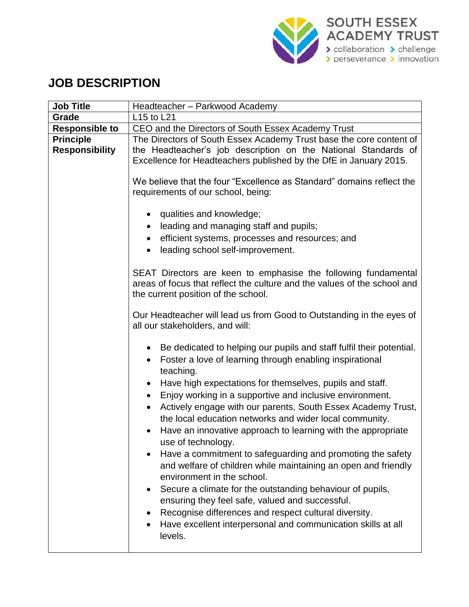

## **JOB DESCRIPTION**

| <b>Job Title</b>                          | Headteacher - Parkwood Academy                                                                                                                                                                                                                                                                                                                                                                                 |
|-------------------------------------------|----------------------------------------------------------------------------------------------------------------------------------------------------------------------------------------------------------------------------------------------------------------------------------------------------------------------------------------------------------------------------------------------------------------|
| Grade                                     | L15 to L21                                                                                                                                                                                                                                                                                                                                                                                                     |
| <b>Responsible to</b>                     | CEO and the Directors of South Essex Academy Trust                                                                                                                                                                                                                                                                                                                                                             |
| <b>Principle</b><br><b>Responsibility</b> | The Directors of South Essex Academy Trust base the core content of<br>the Headteacher's job description on the National Standards of<br>Excellence for Headteachers published by the DfE in January 2015.                                                                                                                                                                                                     |
|                                           | We believe that the four "Excellence as Standard" domains reflect the<br>requirements of our school, being:                                                                                                                                                                                                                                                                                                    |
|                                           | qualities and knowledge;<br>leading and managing staff and pupils;<br>efficient systems, processes and resources; and<br>$\bullet$<br>leading school self-improvement.<br>$\bullet$                                                                                                                                                                                                                            |
|                                           | SEAT Directors are keen to emphasise the following fundamental<br>areas of focus that reflect the culture and the values of the school and<br>the current position of the school.                                                                                                                                                                                                                              |
|                                           | Our Headteacher will lead us from Good to Outstanding in the eyes of<br>all our stakeholders, and will:                                                                                                                                                                                                                                                                                                        |
|                                           | Be dedicated to helping our pupils and staff fulfil their potential.<br>$\bullet$<br>Foster a love of learning through enabling inspirational<br>$\bullet$<br>teaching.                                                                                                                                                                                                                                        |
|                                           | Have high expectations for themselves, pupils and staff.<br>$\bullet$<br>Enjoy working in a supportive and inclusive environment.<br>$\bullet$<br>Actively engage with our parents, South Essex Academy Trust,<br>the local education networks and wider local community.<br>Have an innovative approach to learning with the appropriate<br>use of technology.                                                |
|                                           | Have a commitment to safeguarding and promoting the safety<br>and welfare of children while maintaining an open and friendly<br>environment in the school.<br>Secure a climate for the outstanding behaviour of pupils,<br>ensuring they feel safe, valued and successful.<br>Recognise differences and respect cultural diversity.<br>Have excellent interpersonal and communication skills at all<br>levels. |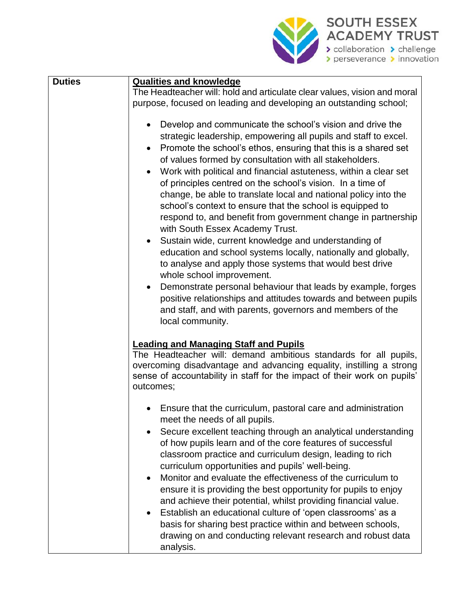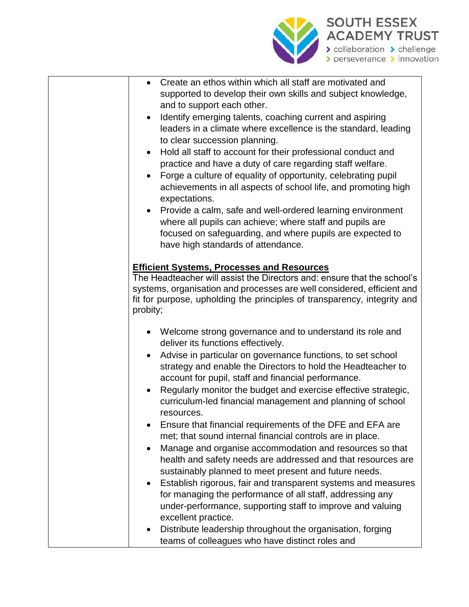

| Create an ethos within which all staff are motivated and<br>supported to develop their own skills and subject knowledge,<br>and to support each other.<br>Identify emerging talents, coaching current and aspiring<br>$\bullet$<br>leaders in a climate where excellence is the standard, leading<br>to clear succession planning.<br>Hold all staff to account for their professional conduct and<br>$\bullet$<br>practice and have a duty of care regarding staff welfare.<br>Forge a culture of equality of opportunity, celebrating pupil<br>achievements in all aspects of school life, and promoting high<br>expectations.<br>Provide a calm, safe and well-ordered learning environment<br>$\bullet$<br>where all pupils can achieve; where staff and pupils are<br>focused on safeguarding, and where pupils are expected to<br>have high standards of attendance. |
|----------------------------------------------------------------------------------------------------------------------------------------------------------------------------------------------------------------------------------------------------------------------------------------------------------------------------------------------------------------------------------------------------------------------------------------------------------------------------------------------------------------------------------------------------------------------------------------------------------------------------------------------------------------------------------------------------------------------------------------------------------------------------------------------------------------------------------------------------------------------------|
|                                                                                                                                                                                                                                                                                                                                                                                                                                                                                                                                                                                                                                                                                                                                                                                                                                                                            |
| <b>Efficient Systems, Processes and Resources</b><br>The Headteacher will assist the Directors and: ensure that the school's<br>systems, organisation and processes are well considered, efficient and<br>fit for purpose, upholding the principles of transparency, integrity and<br>probity;                                                                                                                                                                                                                                                                                                                                                                                                                                                                                                                                                                             |
| Welcome strong governance and to understand its role and                                                                                                                                                                                                                                                                                                                                                                                                                                                                                                                                                                                                                                                                                                                                                                                                                   |
| deliver its functions effectively.                                                                                                                                                                                                                                                                                                                                                                                                                                                                                                                                                                                                                                                                                                                                                                                                                                         |
| Advise in particular on governance functions, to set school<br>strategy and enable the Directors to hold the Headteacher to<br>account for pupil, staff and financial performance.                                                                                                                                                                                                                                                                                                                                                                                                                                                                                                                                                                                                                                                                                         |
| Regularly monitor the budget and exercise effective strategic,<br>$\bullet$<br>curriculum-led financial management and planning of school                                                                                                                                                                                                                                                                                                                                                                                                                                                                                                                                                                                                                                                                                                                                  |
| resources.                                                                                                                                                                                                                                                                                                                                                                                                                                                                                                                                                                                                                                                                                                                                                                                                                                                                 |
| Ensure that financial requirements of the DFE and EFA are<br>met; that sound internal financial controls are in place.                                                                                                                                                                                                                                                                                                                                                                                                                                                                                                                                                                                                                                                                                                                                                     |
| Manage and organise accommodation and resources so that                                                                                                                                                                                                                                                                                                                                                                                                                                                                                                                                                                                                                                                                                                                                                                                                                    |
| health and safety needs are addressed and that resources are                                                                                                                                                                                                                                                                                                                                                                                                                                                                                                                                                                                                                                                                                                                                                                                                               |
| sustainably planned to meet present and future needs.<br>Establish rigorous, fair and transparent systems and measures<br>$\bullet$                                                                                                                                                                                                                                                                                                                                                                                                                                                                                                                                                                                                                                                                                                                                        |
| for managing the performance of all staff, addressing any<br>under-performance, supporting staff to improve and valuing<br>excellent practice.                                                                                                                                                                                                                                                                                                                                                                                                                                                                                                                                                                                                                                                                                                                             |
| Distribute leadership throughout the organisation, forging                                                                                                                                                                                                                                                                                                                                                                                                                                                                                                                                                                                                                                                                                                                                                                                                                 |
| teams of colleagues who have distinct roles and                                                                                                                                                                                                                                                                                                                                                                                                                                                                                                                                                                                                                                                                                                                                                                                                                            |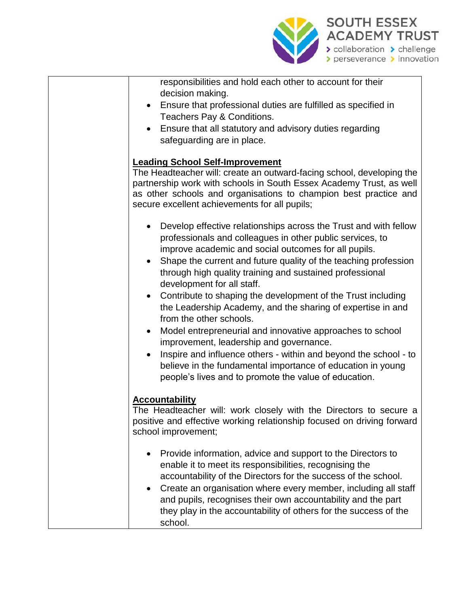

| responsibilities and hold each other to account for their |  |
|-----------------------------------------------------------|--|
| decision making.                                          |  |

- Ensure that professional duties are fulfilled as specified in Teachers Pay & Conditions.
- Ensure that all statutory and advisory duties regarding safeguarding are in place.

## **Leading School Self-Improvement**

The Headteacher will: create an outward-facing school, developing the partnership work with schools in South Essex Academy Trust, as well as other schools and organisations to champion best practice and secure excellent achievements for all pupils;

- Develop effective relationships across the Trust and with fellow professionals and colleagues in other public services, to improve academic and social outcomes for all pupils.
- Shape the current and future quality of the teaching profession through high quality training and sustained professional development for all staff.
- Contribute to shaping the development of the Trust including the Leadership Academy, and the sharing of expertise in and from the other schools.
- Model entrepreneurial and innovative approaches to school improvement, leadership and governance.
- Inspire and influence others within and beyond the school to believe in the fundamental importance of education in young people's lives and to promote the value of education.

## **Accountability**

The Headteacher will: work closely with the Directors to secure a positive and effective working relationship focused on driving forward school improvement;

- Provide information, advice and support to the Directors to enable it to meet its responsibilities, recognising the accountability of the Directors for the success of the school.
- Create an organisation where every member, including all staff and pupils, recognises their own accountability and the part they play in the accountability of others for the success of the school.